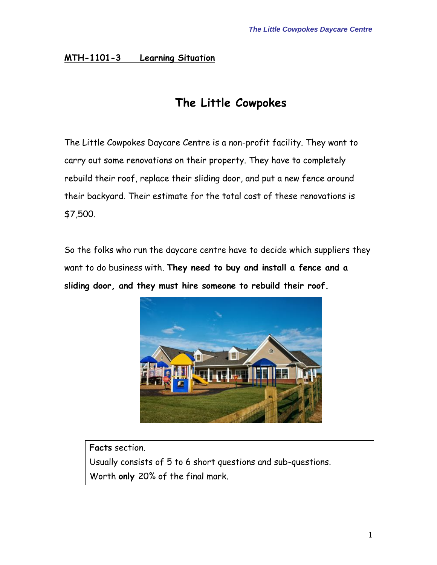#### **MTH-1101-3 Learning Situation**

## **The Little Cowpokes**

The Little Cowpokes Daycare Centre is a non-profit facility. They want to carry out some renovations on their property. They have to completely rebuild their roof, replace their sliding door, and put a new fence around their backyard. Their estimate for the total cost of these renovations is \$7,500.

So the folks who run the daycare centre have to decide which suppliers they want to do business with. **They need to buy and install a fence and a sliding door, and they must hire someone to rebuild their roof.**



**Facts** section. Usually consists of 5 to 6 short questions and sub-questions. Worth **only** 20% of the final mark.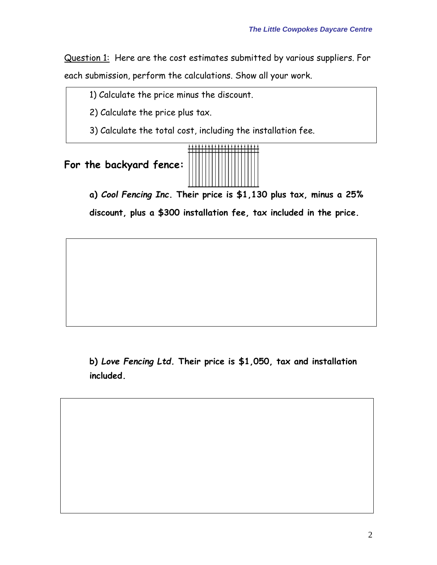Question 1: Here are the cost estimates submitted by various suppliers. For each submission, perform the calculations. Show all your work.

1) Calculate the price minus the discount.

2) Calculate the price plus tax.

3) Calculate the total cost, including the installation fee.





**a)** *Cool Fencing Inc***. Their price is \$1,130 plus tax, minus a 25% discount, plus a \$300 installation fee, tax included in the price.** 

**b)** *Love Fencing Ltd.* **Their price is \$1,050, tax and installation included.**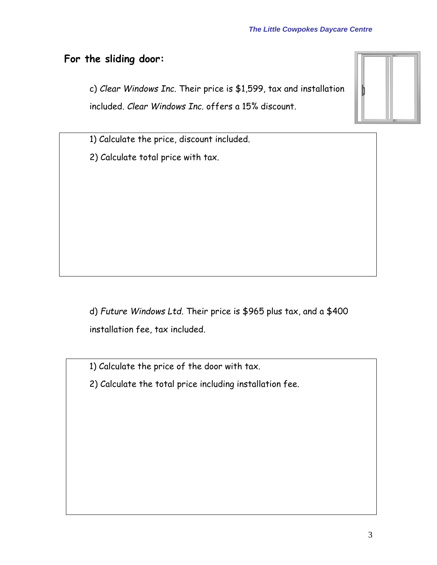### **For the sliding door:**

c) *Clear Windows Inc.* Their price is \$1,599, tax and installation included. *Clear Windows Inc.* offers a 15% discount.

1) Calculate the price, discount included.

2) Calculate total price with tax.

d) *Future Windows Ltd.* Their price is \$965 plus tax, and a \$400 installation fee, tax included.

1) Calculate the price of the door with tax.

2) Calculate the total price including installation fee.

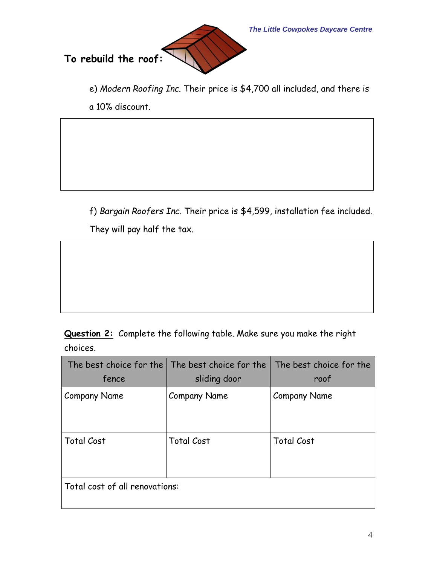*The Little Cowpokes Daycare Centre*



e) *Modern Roofing Inc.* Their price is \$4,700 all included, and there is a 10% discount.

f) *Bargain Roofers Inc.* Their price is \$4,599, installation fee included. They will pay half the tax.

**Question 2:** Complete the following table. Make sure you make the right choices.

|                                | The best choice for the The best choice for the | The best choice for the |  |  |  |
|--------------------------------|-------------------------------------------------|-------------------------|--|--|--|
| fence                          | sliding door                                    | roof                    |  |  |  |
| <b>Company Name</b>            | <b>Company Name</b>                             | <b>Company Name</b>     |  |  |  |
| <b>Total Cost</b>              | <b>Total Cost</b>                               | <b>Total Cost</b>       |  |  |  |
| Total cost of all renovations: |                                                 |                         |  |  |  |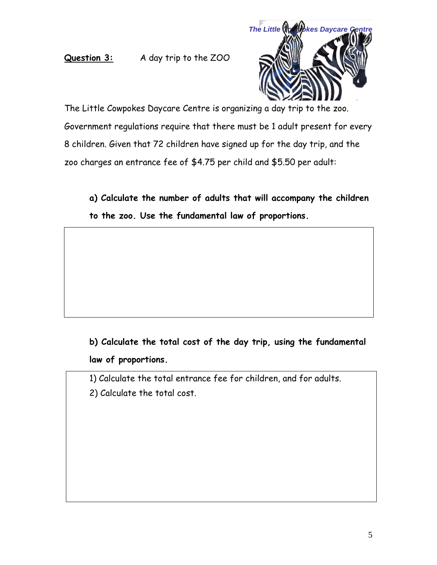#### **Question 3:** A day trip to the ZOO



The Little Cowpokes Daycare Centre is organizing a day trip to the zoo. Government regulations require that there must be 1 adult present for every 8 children. Given that 72 children have signed up for the day trip, and the zoo charges an entrance fee of \$4.75 per child and \$5.50 per adult:

**a) Calculate the number of adults that will accompany the children to the zoo. Use the fundamental law of proportions.** 

**b) Calculate the total cost of the day trip, using the fundamental law of proportions.** 

1) Calculate the total entrance fee for children, and for adults. 2) Calculate the total cost.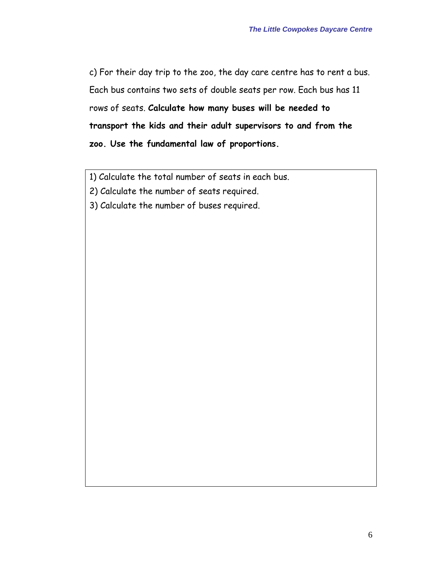c) For their day trip to the zoo, the day care centre has to rent a bus. Each bus contains two sets of double seats per row. Each bus has 11 rows of seats. **Calculate how many buses will be needed to transport the kids and their adult supervisors to and from the zoo. Use the fundamental law of proportions.**

1) Calculate the total number of seats in each bus.

2) Calculate the number of seats required.

3) Calculate the number of buses required.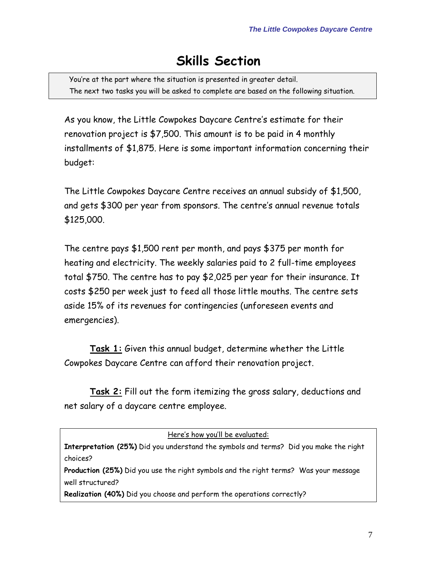# **Skills Section**

You're at the part where the situation is presented in greater detail. The next two tasks you will be asked to complete are based on the following situation.

As you know, the Little Cowpokes Daycare Centre's estimate for their renovation project is \$7,500. This amount is to be paid in 4 monthly installments of \$1,875. Here is some important information concerning their budget:

The Little Cowpokes Daycare Centre receives an annual subsidy of \$1,500, and gets \$300 per year from sponsors. The centre's annual revenue totals \$125,000.

The centre pays \$1,500 rent per month, and pays \$375 per month for heating and electricity. The weekly salaries paid to 2 full-time employees total \$750. The centre has to pay \$2,025 per year for their insurance. It costs \$250 per week just to feed all those little mouths. The centre sets aside 15% of its revenues for contingencies (unforeseen events and emergencies).

**Task 1:** Given this annual budget, determine whether the Little Cowpokes Daycare Centre can afford their renovation project.

**Task 2:** Fill out the form itemizing the gross salary, deductions and net salary of a daycare centre employee.

| Here's how you'll be evaluated:                                                              |  |  |  |  |
|----------------------------------------------------------------------------------------------|--|--|--|--|
| <b>Interpretation (25%)</b> Did you understand the symbols and terms? Did you make the right |  |  |  |  |
| choices?                                                                                     |  |  |  |  |
| Production (25%) Did you use the right symbols and the right terms? Was your message         |  |  |  |  |
| well structured?                                                                             |  |  |  |  |
| Realization (40%) Did you choose and perform the operations correctly?                       |  |  |  |  |
|                                                                                              |  |  |  |  |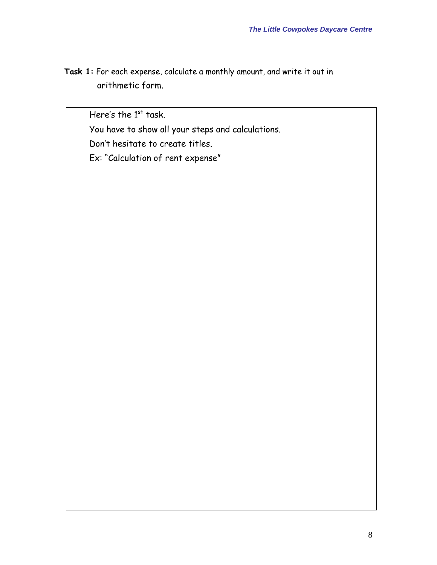**Task 1:** For each expense, calculate a monthly amount, and write it out in arithmetic form.

Here's the  $1<sup>st</sup>$  task.

You have to show all your steps and calculations.

Don't hesitate to create titles.

Ex: "Calculation of rent expense"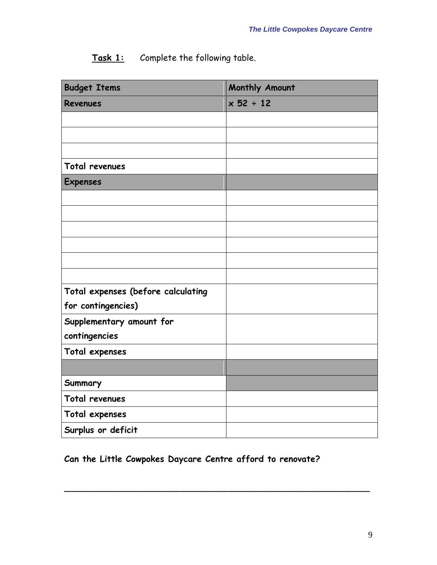| Task 1: | Complete the following table. |  |  |  |
|---------|-------------------------------|--|--|--|
|---------|-------------------------------|--|--|--|

| <b>Budget Items</b>                | Monthly Amount |
|------------------------------------|----------------|
| <b>Revenues</b>                    | $x 52 \div 12$ |
|                                    |                |
|                                    |                |
|                                    |                |
| Total revenues                     |                |
| <b>Expenses</b>                    |                |
|                                    |                |
|                                    |                |
|                                    |                |
|                                    |                |
|                                    |                |
|                                    |                |
| Total expenses (before calculating |                |
| for contingencies)                 |                |
| Supplementary amount for           |                |
| contingencies                      |                |
| Total expenses                     |                |
|                                    |                |
| Summary                            |                |
| Total revenues                     |                |
| Total expenses                     |                |
| Surplus or deficit                 |                |

## **Can the Little Cowpokes Daycare Centre afford to renovate?**

\_\_\_\_\_\_\_\_\_\_\_\_\_\_\_\_\_\_\_\_\_\_\_\_\_\_\_\_\_\_\_\_\_\_\_\_\_\_\_\_\_\_\_\_\_\_\_\_\_\_\_\_\_\_\_\_\_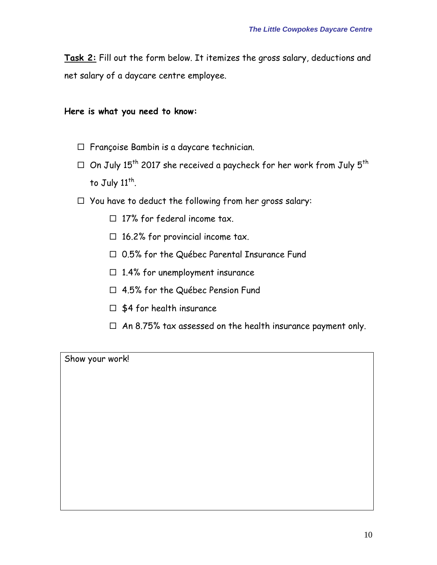**Task 2:** Fill out the form below. It itemizes the gross salary, deductions and net salary of a daycare centre employee.

**Here is what you need to know:**

- $\Box$  Françoise Bambin is a daycare technician.
- $\Box$  On July 15<sup>th</sup> 2017 she received a paycheck for her work from July 5<sup>th</sup> to July  $11^{\text{th}}$ .
- $\Box$  You have to deduct the following from her gross salary:
	- $\Box$  17% for federal income tax.
	- $\Box$  16.2% for provincial income tax.
	- □ 0.5% for the Québec Parental Insurance Fund
	- $\Box$  1.4% for unemployment insurance
	- 4.5% for the Québec Pension Fund
	- $\Box$  \$4 for health insurance
	- $\Box$  An 8.75% tax assessed on the health insurance payment only.

Show your work!